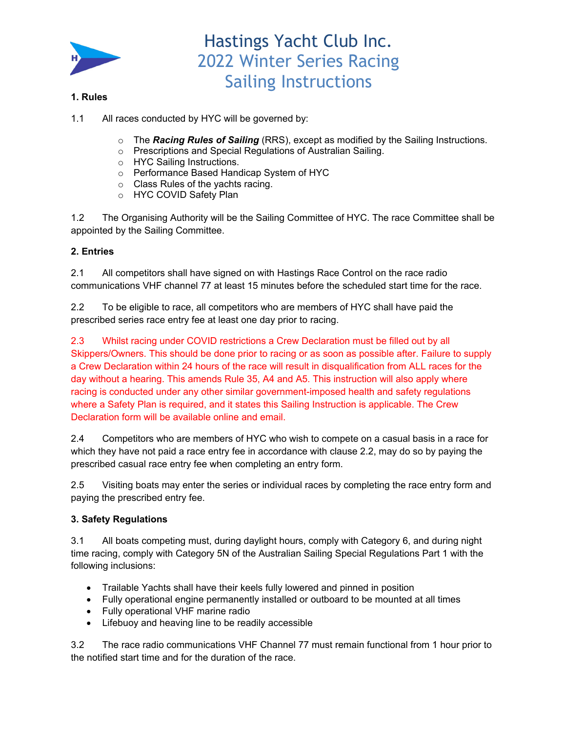

## **1. Rules**

- 1.1 All races conducted by HYC will be governed by:
	- o The *Racing Rules of Sailing* (RRS), except as modified by the Sailing Instructions.
	- o Prescriptions and Special Regulations of Australian Sailing.
	- o HYC Sailing Instructions.
	- o Performance Based Handicap System of HYC
	- o Class Rules of the yachts racing.
	- o HYC COVID Safety Plan

1.2 The Organising Authority will be the Sailing Committee of HYC. The race Committee shall be appointed by the Sailing Committee.

## **2. Entries**

2.1 All competitors shall have signed on with Hastings Race Control on the race radio communications VHF channel 77 at least 15 minutes before the scheduled start time for the race.

2.2 To be eligible to race, all competitors who are members of HYC shall have paid the prescribed series race entry fee at least one day prior to racing.

2.3 Whilst racing under COVID restrictions a Crew Declaration must be filled out by all Skippers/Owners. This should be done prior to racing or as soon as possible after. Failure to supply a Crew Declaration within 24 hours of the race will result in disqualification from ALL races for the day without a hearing. This amends Rule 35, A4 and A5. This instruction will also apply where racing is conducted under any other similar government-imposed health and safety regulations where a Safety Plan is required, and it states this Sailing Instruction is applicable. The Crew Declaration form will be available online and email.

2.4 Competitors who are members of HYC who wish to compete on a casual basis in a race for which they have not paid a race entry fee in accordance with clause 2.2, may do so by paying the prescribed casual race entry fee when completing an entry form.

2.5 Visiting boats may enter the series or individual races by completing the race entry form and paying the prescribed entry fee.

## **3. Safety Regulations**

3.1 All boats competing must, during daylight hours, comply with Category 6, and during night time racing, comply with Category 5N of the Australian Sailing Special Regulations Part 1 with the following inclusions:

- Trailable Yachts shall have their keels fully lowered and pinned in position
- Fully operational engine permanently installed or outboard to be mounted at all times
- Fully operational VHF marine radio
- Lifebuoy and heaving line to be readily accessible

3.2 The race radio communications VHF Channel 77 must remain functional from 1 hour prior to the notified start time and for the duration of the race.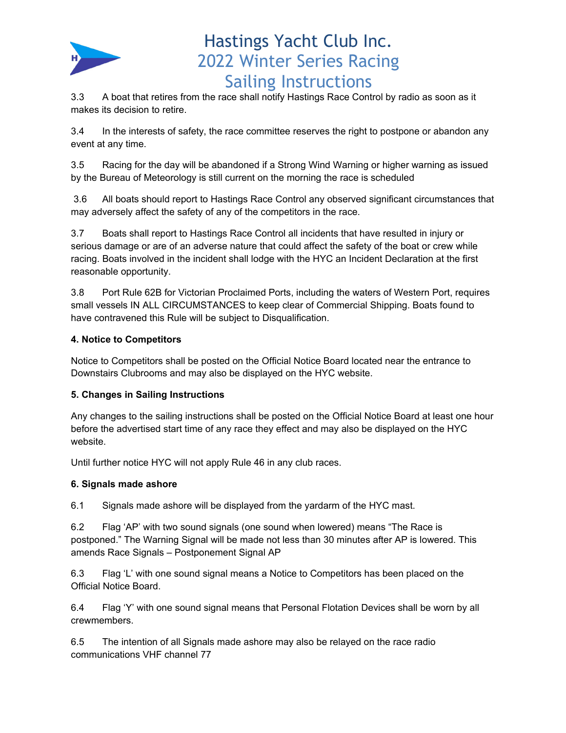

3.3 A boat that retires from the race shall notify Hastings Race Control by radio as soon as it makes its decision to retire.

3.4 In the interests of safety, the race committee reserves the right to postpone or abandon any event at any time.

3.5 Racing for the day will be abandoned if a Strong Wind Warning or higher warning as issued by the Bureau of Meteorology is still current on the morning the race is scheduled

 3.6 All boats should report to Hastings Race Control any observed significant circumstances that may adversely affect the safety of any of the competitors in the race.

3.7 Boats shall report to Hastings Race Control all incidents that have resulted in injury or serious damage or are of an adverse nature that could affect the safety of the boat or crew while racing. Boats involved in the incident shall lodge with the HYC an Incident Declaration at the first reasonable opportunity.

3.8 Port Rule 62B for Victorian Proclaimed Ports, including the waters of Western Port, requires small vessels IN ALL CIRCUMSTANCES to keep clear of Commercial Shipping. Boats found to have contravened this Rule will be subject to Disqualification.

## **4. Notice to Competitors**

Notice to Competitors shall be posted on the Official Notice Board located near the entrance to Downstairs Clubrooms and may also be displayed on the HYC website.

## **5. Changes in Sailing Instructions**

Any changes to the sailing instructions shall be posted on the Official Notice Board at least one hour before the advertised start time of any race they effect and may also be displayed on the HYC website.

Until further notice HYC will not apply Rule 46 in any club races.

### **6. Signals made ashore**

6.1 Signals made ashore will be displayed from the yardarm of the HYC mast.

6.2 Flag 'AP' with two sound signals (one sound when lowered) means "The Race is postponed." The Warning Signal will be made not less than 30 minutes after AP is lowered. This amends Race Signals – Postponement Signal AP

6.3 Flag 'L' with one sound signal means a Notice to Competitors has been placed on the Official Notice Board.

6.4 Flag 'Y' with one sound signal means that Personal Flotation Devices shall be worn by all crewmembers.

6.5 The intention of all Signals made ashore may also be relayed on the race radio communications VHF channel 77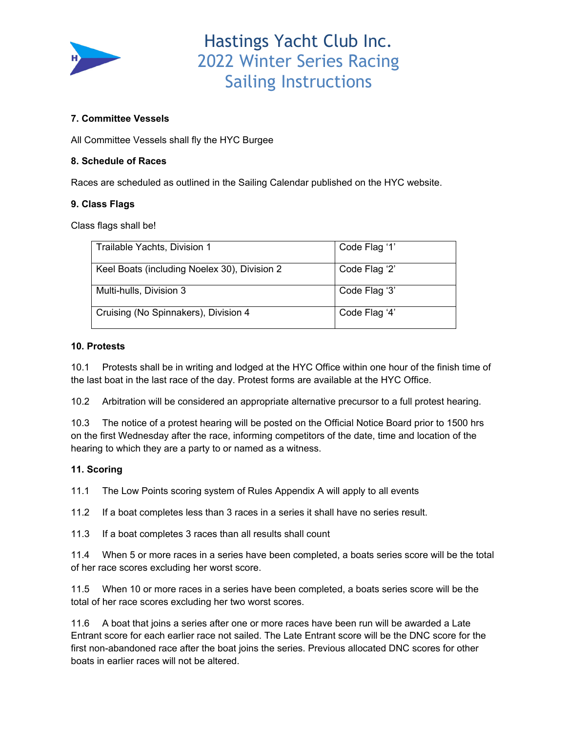

### **7. Committee Vessels**

All Committee Vessels shall fly the HYC Burgee

### **8. Schedule of Races**

Races are scheduled as outlined in the Sailing Calendar published on the HYC website.

### **9. Class Flags**

Class flags shall be!

| Trailable Yachts, Division 1                 | Code Flag '1' |
|----------------------------------------------|---------------|
| Keel Boats (including Noelex 30), Division 2 | Code Flag '2' |
| Multi-hulls, Division 3                      | Code Flag '3' |
| Cruising (No Spinnakers), Division 4         | Code Flag '4' |

### **10. Protests**

10.1 Protests shall be in writing and lodged at the HYC Office within one hour of the finish time of the last boat in the last race of the day. Protest forms are available at the HYC Office.

10.2 Arbitration will be considered an appropriate alternative precursor to a full protest hearing.

10.3 The notice of a protest hearing will be posted on the Official Notice Board prior to 1500 hrs on the first Wednesday after the race, informing competitors of the date, time and location of the hearing to which they are a party to or named as a witness.

### **11. Scoring**

11.1 The Low Points scoring system of Rules Appendix A will apply to all events

11.2 If a boat completes less than 3 races in a series it shall have no series result.

11.3 If a boat completes 3 races than all results shall count

11.4 When 5 or more races in a series have been completed, a boats series score will be the total of her race scores excluding her worst score.

11.5 When 10 or more races in a series have been completed, a boats series score will be the total of her race scores excluding her two worst scores.

11.6 A boat that joins a series after one or more races have been run will be awarded a Late Entrant score for each earlier race not sailed. The Late Entrant score will be the DNC score for the first non-abandoned race after the boat joins the series. Previous allocated DNC scores for other boats in earlier races will not be altered.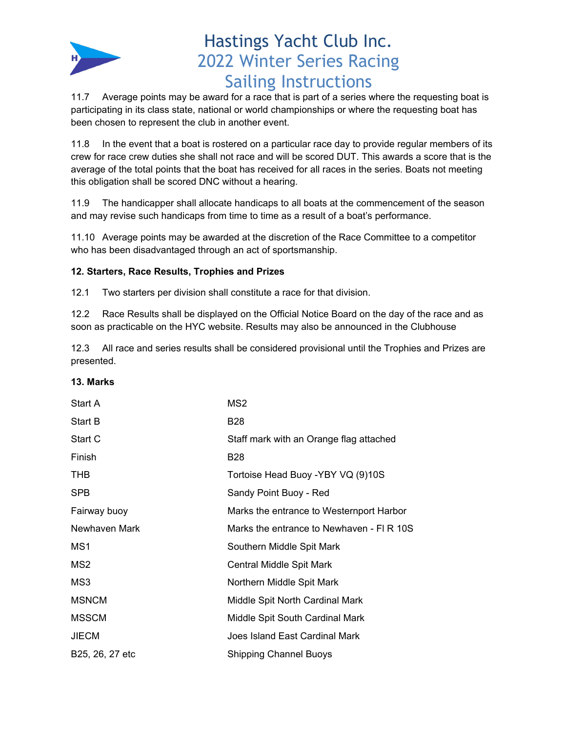

11.7 Average points may be award for a race that is part of a series where the requesting boat is participating in its class state, national or world championships or where the requesting boat has been chosen to represent the club in another event.

11.8 In the event that a boat is rostered on a particular race day to provide regular members of its crew for race crew duties she shall not race and will be scored DUT. This awards a score that is the average of the total points that the boat has received for all races in the series. Boats not meeting this obligation shall be scored DNC without a hearing.

11.9 The handicapper shall allocate handicaps to all boats at the commencement of the season and may revise such handicaps from time to time as a result of a boat's performance.

11.10 Average points may be awarded at the discretion of the Race Committee to a competitor who has been disadvantaged through an act of sportsmanship.

## **12. Starters, Race Results, Trophies and Prizes**

12.1 Two starters per division shall constitute a race for that division.

12.2 Race Results shall be displayed on the Official Notice Board on the day of the race and as soon as practicable on the HYC website. Results may also be announced in the Clubhouse

12.3 All race and series results shall be considered provisional until the Trophies and Prizes are presented.

### **13. Marks**

| Start A         | MS2                                      |
|-----------------|------------------------------------------|
| <b>Start B</b>  | <b>B28</b>                               |
| Start C         | Staff mark with an Orange flag attached  |
| Finish          | <b>B28</b>                               |
| THB.            | Tortoise Head Buoy - YBY VQ (9)10S       |
| <b>SPB</b>      | Sandy Point Buoy - Red                   |
| Fairway buoy    | Marks the entrance to Westernport Harbor |
| Newhaven Mark   | Marks the entrance to Newhaven - FLR 10S |
| MS1             | Southern Middle Spit Mark                |
| MS2             | Central Middle Spit Mark                 |
| MS3             | Northern Middle Spit Mark                |
| <b>MSNCM</b>    | Middle Spit North Cardinal Mark          |
| <b>MSSCM</b>    | Middle Spit South Cardinal Mark          |
| <b>JIECM</b>    | Joes Island East Cardinal Mark           |
| B25, 26, 27 etc | <b>Shipping Channel Buoys</b>            |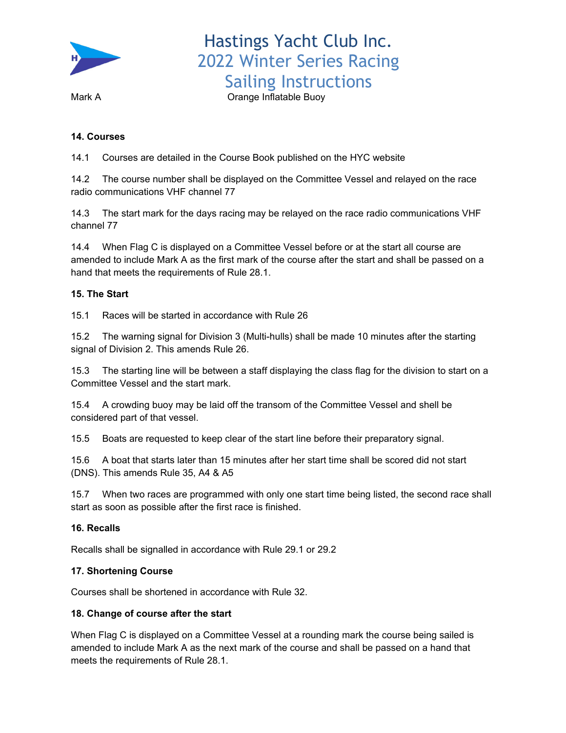

Mark A **Mark A Communist Communist A** Orange Inflatable Buoy

### **14. Courses**

14.1 Courses are detailed in the Course Book published on the HYC website

14.2 The course number shall be displayed on the Committee Vessel and relayed on the race radio communications VHF channel 77

14.3 The start mark for the days racing may be relayed on the race radio communications VHF channel 77

14.4 When Flag C is displayed on a Committee Vessel before or at the start all course are amended to include Mark A as the first mark of the course after the start and shall be passed on a hand that meets the requirements of Rule 28.1.

### **15. The Start**

15.1 Races will be started in accordance with Rule 26

15.2 The warning signal for Division 3 (Multi-hulls) shall be made 10 minutes after the starting signal of Division 2. This amends Rule 26.

15.3 The starting line will be between a staff displaying the class flag for the division to start on a Committee Vessel and the start mark.

15.4 A crowding buoy may be laid off the transom of the Committee Vessel and shell be considered part of that vessel.

15.5 Boats are requested to keep clear of the start line before their preparatory signal.

15.6 A boat that starts later than 15 minutes after her start time shall be scored did not start (DNS). This amends Rule 35, A4 & A5

15.7 When two races are programmed with only one start time being listed, the second race shall start as soon as possible after the first race is finished.

### **16. Recalls**

Recalls shall be signalled in accordance with Rule 29.1 or 29.2

### **17. Shortening Course**

Courses shall be shortened in accordance with Rule 32.

### **18. Change of course after the start**

When Flag C is displayed on a Committee Vessel at a rounding mark the course being sailed is amended to include Mark A as the next mark of the course and shall be passed on a hand that meets the requirements of Rule 28.1.